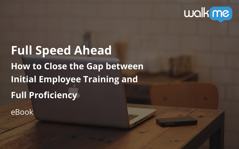**Full Speed Ahead How to Close the Gap between Initial Employee Training and Full Proficiency**  eBook

# walk me

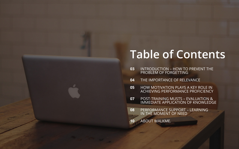## **Table of Contents**

INTRODUCTION – HOW TO PREVENT THE

ICE OF RELEVANCE

HOW MOTIVATION PLAYS A KEY ROLE IN ACHIEVING PERFORMANCE PROFICIENCY

| <b>INTRODUCTION - HOW TO</b><br>PROBLEM OF FORGETTING            |
|------------------------------------------------------------------|
| THE IMPORTANCE OF RELE                                           |
| <b>HOW MOTIVATION PLAYS A</b><br><b>ACHIEVING PERFORMANCE</b>    |
| <b>POST-TRAINING MUSTS - E</b><br><b>IMMEDIATE APPLICATION (</b> |
| PERFORMANCE SUPPORT -<br>IN THE MOMENT OF NEED                   |
| <b>ABOUT WALKME.</b>                                             |
|                                                                  |

POST-TRAINING MUSTS – EVALUATION & IMMEDIATE APPLICATION OF KNOWLEDGE

> SUPPORT – LEARNING T OF NEED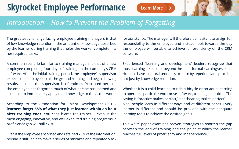### *Introduction – How to Prevent the Problem of Forgetting*

The greatest challenge facing employee training managers is that of low knowledge retention -- the amount of knowledge absorbed by the learner during training that helps the worker complete his/ her required tasks.

A common scenario familiar to training managers is that of a new employee completing four days of training on the company's CRM software. After the initial training period, the employee's supervisor expects the employee to hit the ground running and begin showing results. Instead, the supervisor is oftentimes frustrated because the employee has forgotten much of what he/she has learned and is unable to immediately apply that knowledge to the actual work.

According to the Association for Talent Development (2015), **learners forget 58% of what they just learned within an hour after training ends.** You can't blame the trainer -- even in the most engaging, innovative, and well-executed training programs, a proficiency gap will still exist.

Even if the employee absorbed and retained 75% of the information, he/she is still liable to make a series of mistakes and repeatedly ask

for assistance. The manager will therefore be hesitant to assign full responsibility to the employee and instead, look towards the day the employee will be able to achieve full proficiency on the CRM software.

Experienced "learning and development" leaders recognize that most learning takes place beyond the initial formal learning sessions. Humans have a natural tendency to learn by repetition and practice, not just by knowledge retention.

Whether it is a child learning to ride a bicycle or an adult learning to operate a particular enterprise software, training takes time. The saying is "practice makes perfect," not "hearing makes perfect". Also, people learn in different ways and at different paces. Every learner is different and should be provided with the adequate learning tools to achieve the desired goals.

This white paper examines proven strategies to shorten the gap between the end of training and the point at which the learner reaches full levels of proficiency and independence.

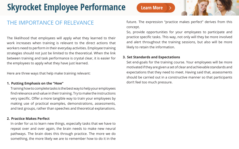### THE IMPORTANCE OF RELEVANCE

The likelihood that employees will apply what they learned to their work increases when training is relevant to the direct actions that workers need to perform in their everyday activities. Employee training strategies should not just be limited to the theoretical. When the link between training and task performance is crystal clear, it is easier for the employees to apply what they have just learned.

Here are three ways that help make training relevant:

### **1. Putting Emphasis on the "How"**

Training how to complete tasks is the best way to help your employees find relevance and value in their training. Try to make the instructions very specific. Offer a more tangible way to train your employees by making use of practical examples, demonstrations, assessments, and test groups, rather than speeches and theoretical explanations.

#### **2. Practice Makes Perfect**

In order for us to learn new things, especially tasks that we have to repeat over and over again, the brain needs to make new neural pathways. The brain does this through practice. The more we do something, the more likely we are to remember how to do it in the future. The expression "practice makes perfect" derives from this concept.

So, provide opportunities for your employees to participate and practice specific tasks. This way, not only will they be more involved and alert throughout the training sessions, but also will be more likely to retain the information.

#### **3. Set Standards and Expectations**

Set end-goals for the training course. Your employees will be more motivated if they are given a set of clear and achievable standards and expectations that they need to meet. Having said that, assessments should be carried out in a constructive manner so that participants don't feel too much pressure.

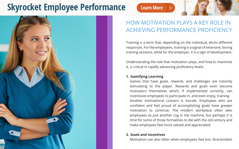### **Learn More**



Training is a term that, depending on the individual, elicits different responses. For the employees, training is a signal of extensive, boring training sessions, while for the employer, it is a sign of development.

Understanding the role that motivation plays, and how to maximize it, is critical in rapidly advancing proficiency levels.

### **1. Gamifying Learning**

Games that have goals, rewards, and challenges are instantly stimulating to the player. Rewards and goals even become motivators themselves which, if implemented correctly, can incentivize employees to participate in, and even enjoy, training. Another motivational concern is morale. Employees who are confident and feel proud of accomplishing goals have greater motivation to continue. The modern workplace often sees employees as just another cog in the machine, but perhaps it is time for some of those formalities to die with the old century and make employees feel more valued and appreciated.

## **2. Goals and Incentives**



Motivation can also falter when employees feel lost, directionless

### HOW MOTIVATION PLAYS A KEY ROLE IN ACHIEVING PERFORMANCE PROFICIENCY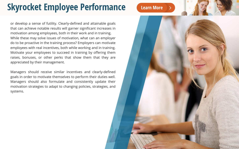or develop a sense of futility. Clearly-defined and attainable goals that can achieve notable results will garner significant increases in motivation among employees, both in their work and in training. While these may solve issues of motivation, what can an employer do to be proactive in the training process? Employers can motivate employees with real incentives, both while working and in training. Motivate your employees to succeed in training by offering them raises, bonuses, or other perks that show them that they are appreciated by their management.

Managers should receive similar incentives and clearly-defined goals in order to motivate themselves to perform their duties well. Managers should also formulate and consistently update their motivation strategies to adapt to changing policies, strategies, and systems.

### **Learn More**

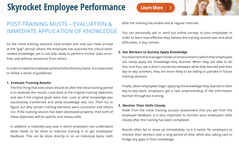So the initial training sessions have ended and now you have arrived at the "gap" period, where the employee has acquired the critical workrelated knowledge, yet is not fully ready to perform his/her tasks errorfree, and without assistance from others.

In order to help the employee achieve full proficiency faster, it is imperative to follow a series of guidelines:

#### **1. Evaluate Training Results**

The first thing that executives should do after the initial training period is to evaluate the results. Look back at the original training objectives and see if the original goals were met. Look at what knowledge was successfully transferred and what knowledge was not. Then try to figure out why certain training elements were successful and others not. If the training session has been developed properly, then both of these objectives will be specific and measurable.

In addition, a relatively easy way in which employers can understand what needs to be done to improve training is to get employees' feedback. This can be done directly or on an individual basis, both after the training has ended and at regular intervals.

You can personally ask or send out online surveys to your employees in order to learn how effective they believe the training session was and what

- difficulties, if any, remain.
- **2. Get Workers to Quickly Apply Knowledge**  training sessions.

It is important that managers foster an environment in which their employees can easily apply the knowledge they learned. When they are able to do this, and thus see a direct connection between what they learned and their day-to-day activities, they are more likely to be willing to partake in future

Finally, when employees begin applying the knowledge they learned in their day-to-day work, employers get a real understanding of the information learned throughout training.

Aside from the initial training success assessment that you get from the employee feedback, it is very important to monitor your employees' skills

**3. Monitor Their Skills Closely** closely after the training has been completed.

Results often fail to show up immediately, so it is better for employers to monitor their workers over a long period of time, while also taking care to bridge any gaps in their knowledge.

**Learn More** 



## **Skyrocket Employee Performance**

### POST-TRAINING MUSTS – EVALUATION & IMMEDIATE APPLICATION OF KNOWLEDGE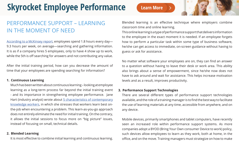[According to a McKinsey report,](http://w.walkme.com/racetosuccess?t=8&eco=Training&camp=FullSpeedEbook&land=racetosuccess&pitch=Employee-Productivity) employees spend 1.8 hours every day— 9.3 hours per week, on average—searching and gathering information. It is as if a company hires 5 employees, only to have 4 show up to work, while the 5th is off searching for answers and not contributing any value.

After the initial training period, how can you decrease the amount of time that your employees are spending searching for information?

#### **1. Continuous Learning**

Much has been written about continuous learning – looking at employee learning as a long-term process far beyond the initial training event - and its importance in strengthening employee performance. Jane Hart (industry analyst) wrote about 5 characteristics of contemporary [knowledge workers](http://w.walkme.com/racetosuccess?t=8&eco=Training&camp=FullSpeedEbook&land=racetosuccess&pitch=Employee-Productivity), in which she stresses that workers learn best onthe-job when encountering a problem. This learn-as-you-go approach does not entirely eliminate the need for initial training. On the contrary, it allows the initial sessions to focus more on "big picture" issues, instead of focusing on small, technical details.

#### **2. Blended Learning**

It is most effective to combine initial learning and continuous learning.

### PERFORMANCE SUPPORT – LEARNING IN THE MOMENT OF NEED

Blended learning is an effective technique where employers combine classroom time and online learning. This online learning is a type of performance support that delivers information to the employee in the exact moment it is needed. If an employee forgets how to perform a particular task within some type of business software, he/she can get access to immediate, on-screen guidance without having to guess or ask for assistance.

No matter what software your employees are on, they can find an answer to a question without having to leave their desk or work area. This ability also brings about a sense of empowerment, since he/she now does not have to ask around and wait for assistance. This helps increase motivation levels and as a result, improves productivity.

#### **3. Performance Support Technologies**

There are several different types of performance support technologies available, and the role of a training manager is to find the best way to facilitate the use of learning materials at any time, accessible from anywhere, and on any device.

Mobile devices, primarily smartphones and tablet computers, have recently seen an increased role within performance support systems. As more companies adopt a BYOD (Bring Your Own consumer Device to work) policy, such devices allow employees to learn as they work, both at home, in the office, and on the move. Training managers must strategize on how to make

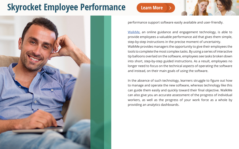**Learn More** 



performance support software easily available and user-friendly.

[WalkMe](http://w.walkme.com/racetosuccess?t=8&eco=Training&camp=FullSpeedEbook&land=racetosuccess&pitch=Employee-Productivity), an online guidance and engagement technology, is able to provide employees a valuable performance aid that gives them simple, step-by-step instructions in the precise moment of uncertainty. WalkMe provides managers the opportunity to give their employees the tools to complete the most complex tasks. By using a series of interactive tip balloons overlaid on the software, employees see tasks broken down into short, step-by-step guided instructions. As a result, employees no longer need to focus on the technical aspects of operating the software and instead, on their main goals of using the software.

In the absence of such technology, learners struggle to figure out how to manage and operate the new software, whereas technology like this can guide them easily and quickly toward their final objective. WalkMe can also give you an accurate assessment of the progress of individual workers, as well as the progress of your work force as a whole by providing an analytics dashboards.